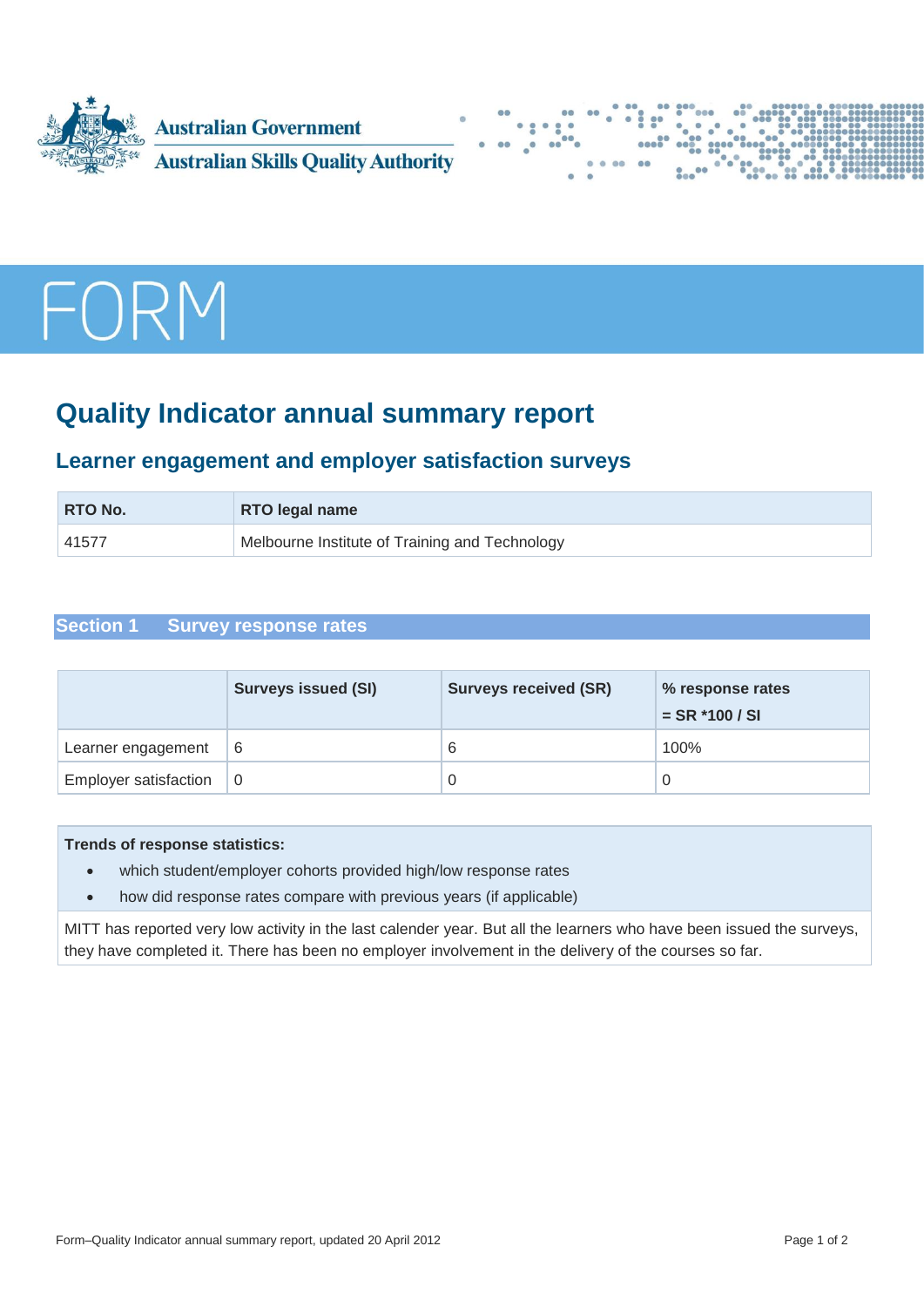





# **Quality Indicator annual summary report**

# **Learner engagement and employer satisfaction surveys**

| <b>RTO No.</b> | <b>RTO legal name</b>                          |  |
|----------------|------------------------------------------------|--|
| 41577          | Melbourne Institute of Training and Technology |  |

# **Section 1 Survey response rates**

|                              | <b>Surveys issued (SI)</b> | <b>Surveys received (SR)</b> | % response rates<br>$=$ SR $*$ 100 / SI |
|------------------------------|----------------------------|------------------------------|-----------------------------------------|
| Learner engagement           | -6                         | 6                            | 100%                                    |
| <b>Employer satisfaction</b> | -0                         |                              |                                         |

#### **Trends of response statistics:**

- which student/employer cohorts provided high/low response rates
- how did response rates compare with previous years (if applicable)

MITT has reported very low activity in the last calender year. But all the learners who have been issued the surveys, they have completed it. There has been no employer involvement in the delivery of the courses so far.